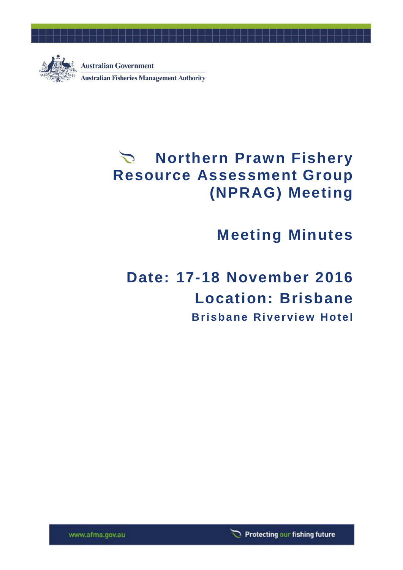

## **Northern Prawn Fishery Resource Assessment Group (NPRAG) Meeting**

# **Meeting Minutes**

# **Date: 17-18 November 2016 Location: Brisbane Brisbane Riverview Hotel**

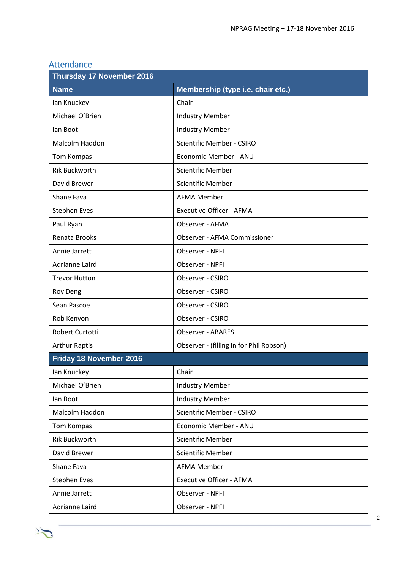| <b>Thursday 17 November 2016</b> |                                         |  |  |
|----------------------------------|-----------------------------------------|--|--|
| <b>Name</b>                      | Membership (type i.e. chair etc.)       |  |  |
| lan Knuckey                      | Chair                                   |  |  |
| Michael O'Brien                  | <b>Industry Member</b>                  |  |  |
| lan Boot                         | <b>Industry Member</b>                  |  |  |
| Malcolm Haddon                   | <b>Scientific Member - CSIRO</b>        |  |  |
| Tom Kompas                       | Economic Member - ANU                   |  |  |
| <b>Rik Buckworth</b>             | <b>Scientific Member</b>                |  |  |
| David Brewer                     | <b>Scientific Member</b>                |  |  |
| Shane Fava                       | <b>AFMA Member</b>                      |  |  |
| <b>Stephen Eves</b>              | <b>Executive Officer - AFMA</b>         |  |  |
| Paul Ryan                        | Observer - AFMA                         |  |  |
| Renata Brooks                    | <b>Observer - AFMA Commissioner</b>     |  |  |
| Annie Jarrett                    | Observer - NPFI                         |  |  |
| <b>Adrianne Laird</b>            | Observer - NPFI                         |  |  |
| <b>Trevor Hutton</b>             | Observer - CSIRO                        |  |  |
| <b>Roy Deng</b>                  | Observer - CSIRO                        |  |  |
| Sean Pascoe                      | Observer - CSIRO                        |  |  |
| Rob Kenyon                       | Observer - CSIRO                        |  |  |
| Robert Curtotti                  | <b>Observer - ABARES</b>                |  |  |
| <b>Arthur Raptis</b>             | Observer - (filling in for Phil Robson) |  |  |
| Friday 18 November 2016          |                                         |  |  |
| Ian Knuckey                      | Chair                                   |  |  |
| Michael O'Brien                  | <b>Industry Member</b>                  |  |  |
| lan Boot                         | <b>Industry Member</b>                  |  |  |
| Malcolm Haddon                   | Scientific Member - CSIRO               |  |  |
| Tom Kompas                       | Economic Member - ANU                   |  |  |
| <b>Rik Buckworth</b>             | <b>Scientific Member</b>                |  |  |
| David Brewer                     | <b>Scientific Member</b>                |  |  |
| Shane Fava                       | <b>AFMA Member</b>                      |  |  |
| <b>Stephen Eves</b>              | <b>Executive Officer - AFMA</b>         |  |  |
| Annie Jarrett                    | Observer - NPFI                         |  |  |
| Adrianne Laird                   | Observer - NPFI                         |  |  |

### Attendance

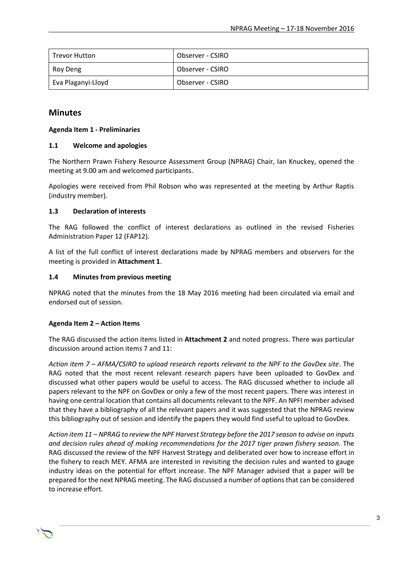| Trevor Hutton      | Observer - CSIRO |
|--------------------|------------------|
| Roy Deng           | Observer - CSIRO |
| Eva Plaganyi-Lloyd | Observer - CSIRO |

#### **Minutes**

#### **Agenda Item 1 - Preliminaries**

#### **1.1 Welcome and apologies**

The Northern Prawn Fishery Resource Assessment Group (NPRAG) Chair, Ian Knuckey, opened the meeting at 9.00 am and welcomed participants.

Apologies were received from Phil Robson who was represented at the meeting by Arthur Raptis (industry member).

#### **1.3 Declaration of interests**

The RAG followed the conflict of interest declarations as outlined in the revised Fisheries Administration Paper 12 (FAP12).

A list of the full conflict of interest declarations made by NPRAG members and observers for the meeting is provided in **Attachment 1**.

#### **1.4 Minutes from previous meeting**

NPRAG noted that the minutes from the 18 May 2016 meeting had been circulated via email and endorsed out of session.

#### **Agenda Item 2 – Action Items**

The RAG discussed the action items listed in **Attachment 2** and noted progress. There was particular discussion around action items 7 and 11:

*Action item 7 – AFMA/CSIRO to upload research reports relevant to the NPF to the GovDex site*. The RAG noted that the most recent relevant research papers have been uploaded to GovDex and discussed what other papers would be useful to access. The RAG discussed whether to include all papers relevant to the NPF on GovDex or only a few of the most recent papers. There was interest in having one central location that contains all documents relevant to the NPF. An NPFI member advised that they have a bibliography of all the relevant papers and it was suggested that the NPRAG review this bibliography out of session and identify the papers they would find useful to upload to GovDex.

*Action item 11 – NPRAG to review the NPF Harvest Strategy before the 2017 season to advise on inputs and decision rules ahead of making recommendations for the 2017 tiger prawn fishery season.* The RAG discussed the review of the NPF Harvest Strategy and deliberated over how to increase effort in the fishery to reach MEY. AFMA are interested in revisiting the decision rules and wanted to gauge industry ideas on the potential for effort increase. The NPF Manager advised that a paper will be prepared for the next NPRAG meeting. The RAG discussed a number of optionsthat can be considered to increase effort.

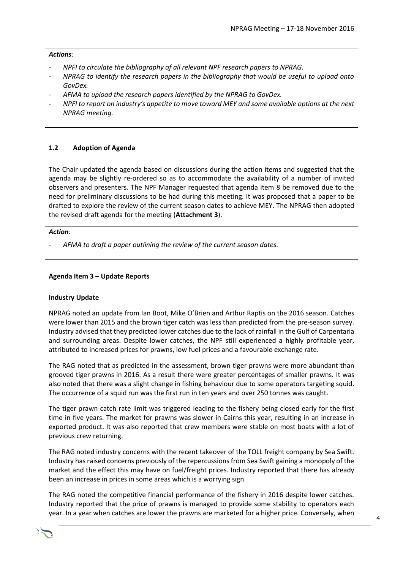#### *Actions:*

- *- NPFI to circulate the bibliography of all relevant NPF research papers to NPRAG.*
- *- NPRAG to identify the research papers in the bibliography that would be useful to upload onto GovDex.*
- *- AFMA to upload the research papers identified by the NPRAG to GovDex.*
- *- NPFI to report on industry's appetite to move toward MEY and some available options at the next NPRAG meeting.*

#### **1.2 Adoption of Agenda**

The Chair updated the agenda based on discussions during the action items and suggested that the agenda may be slightly re-ordered so as to accommodate the availability of a number of invited observers and presenters. The NPF Manager requested that agenda item 8 be removed due to the need for preliminary discussions to be had during this meeting. It was proposed that a paper to be drafted to explore the review of the current season dates to achieve MEY. The NPRAG then adopted the revised draft agenda for the meeting (**Attachment 3**).

#### *Action:*

*- AFMA to draft a paper outlining the review of the current season dates.*

#### **Agenda Item 3 – Update Reports**

#### **Industry Update**

NPRAG noted an update from Ian Boot, Mike O'Brien and Arthur Raptis on the 2016 season. Catches were lower than 2015 and the brown tiger catch was less than predicted from the pre-season survey. Industry advised that they predicted lower catches due to the lack of rainfall in the Gulf of Carpentaria and surrounding areas. Despite lower catches, the NPF still experienced a highly profitable year, attributed to increased prices for prawns, low fuel prices and a favourable exchange rate.

The RAG noted that as predicted in the assessment, brown tiger prawns were more abundant than grooved tiger prawns in 2016. As a result there were greater percentages of smaller prawns. It was also noted that there was a slight change in fishing behaviour due to some operators targeting squid. The occurrence of a squid run was the first run in ten years and over 250 tonnes was caught.

The tiger prawn catch rate limit was triggered leading to the fishery being closed early for the first time in five years. The market for prawns was slower in Cairns this year, resulting in an increase in exported product. It was also reported that crew members were stable on most boats with a lot of previous crew returning.

The RAG noted industry concerns with the recent takeover of the TOLL freight company by Sea Swift. Industry has raised concerns previously of the repercussions from Sea Swift gaining a monopoly of the market and the effect this may have on fuel/freight prices. Industry reported that there has already been an increase in prices in some areas which is a worrying sign.

The RAG noted the competitive financial performance of the fishery in 2016 despite lower catches. Industry reported that the price of prawns is managed to provide some stability to operators each year. In a year when catches are lower the prawns are marketed for a higher price. Conversely, when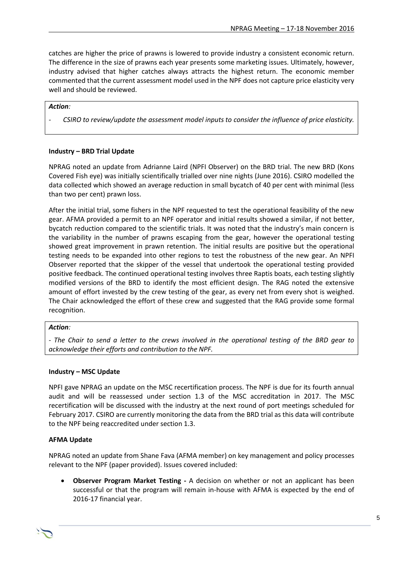catches are higher the price of prawns is lowered to provide industry a consistent economic return. The difference in the size of prawns each year presents some marketing issues. Ultimately, however, industry advised that higher catches always attracts the highest return. The economic member commented that the current assessment model used in the NPF does not capture price elasticity very well and should be reviewed.

#### *Action:*

*- CSIRO to review/update the assessment model inputs to consider the influence of price elasticity.*

#### **Industry – BRD Trial Update**

NPRAG noted an update from Adrianne Laird (NPFI Observer) on the BRD trial. The new BRD (Kons Covered Fish eye) was initially scientifically trialled over nine nights (June 2016). CSIRO modelled the data collected which showed an average reduction in small bycatch of 40 per cent with minimal (less than two per cent) prawn loss.

After the initial trial, some fishers in the NPF requested to test the operational feasibility of the new gear. AFMA provided a permit to an NPF operator and initial results showed a similar, if not better, bycatch reduction compared to the scientific trials. It was noted that the industry's main concern is the variability in the number of prawns escaping from the gear, however the operational testing showed great improvement in prawn retention. The initial results are positive but the operational testing needs to be expanded into other regions to test the robustness of the new gear. An NPFI Observer reported that the skipper of the vessel that undertook the operational testing provided positive feedback. The continued operational testing involves three Raptis boats, each testing slightly modified versions of the BRD to identify the most efficient design. The RAG noted the extensive amount of effort invested by the crew testing of the gear, as every net from every shot is weighed. The Chair acknowledged the effort of these crew and suggested that the RAG provide some formal recognition.

#### *Action:*

*- The Chair to send a letter to the crews involved in the operational testing of the BRD gear to acknowledge their efforts and contribution to the NPF.*

#### **Industry – MSC Update**

NPFI gave NPRAG an update on the MSC recertification process. The NPF is due for its fourth annual audit and will be reassessed under section 1.3 of the MSC accreditation in 2017. The MSC recertification will be discussed with the industry at the next round of port meetings scheduled for February 2017. CSIRO are currently monitoring the data from the BRD trial as this data will contribute to the NPF being reaccredited under section 1.3.

#### **AFMA Update**

NPRAG noted an update from Shane Fava (AFMA member) on key management and policy processes relevant to the NPF (paper provided). Issues covered included:

 **Observer Program Market Testing -** A decision on whether or not an applicant has been successful or that the program will remain in-house with AFMA is expected by the end of 2016-17 financial year.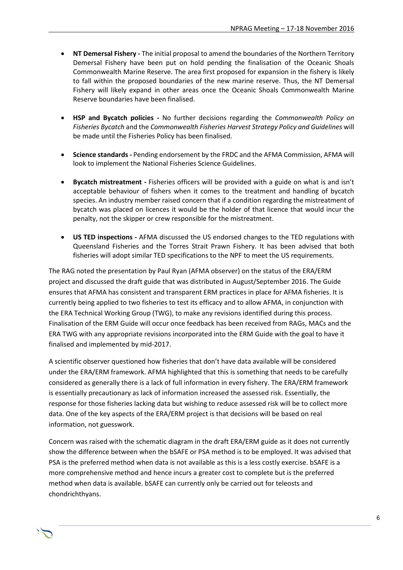- **NT Demersal Fishery -** The initial proposal to amend the boundaries of the Northern Territory Demersal Fishery have been put on hold pending the finalisation of the Oceanic Shoals Commonwealth Marine Reserve. The area first proposed for expansion in the fishery is likely to fall within the proposed boundaries of the new marine reserve. Thus, the NT Demersal Fishery will likely expand in other areas once the Oceanic Shoals Commonwealth Marine Reserve boundaries have been finalised.
- **HSP and Bycatch policies -** No further decisions regarding the *Commonwealth Policy on Fisheries Bycatch* and the *Commonwealth Fisheries Harvest Strategy Policy and Guidelines* will be made until the Fisheries Policy has been finalised.
- **Science standards -** Pending endorsement by the FRDC and the AFMA Commission, AFMA will look to implement the National Fisheries Science Guidelines.
- **Bycatch mistreatment -** Fisheries officers will be provided with a guide on what is and isn't acceptable behaviour of fishers when it comes to the treatment and handling of bycatch species. An industry member raised concern that if a condition regarding the mistreatment of bycatch was placed on licences it would be the holder of that licence that would incur the penalty, not the skipper or crew responsible for the mistreatment.
- **US TED inspections -** AFMA discussed the US endorsed changes to the TED regulations with Queensland Fisheries and the Torres Strait Prawn Fishery. It has been advised that both fisheries will adopt similar TED specifications to the NPF to meet the US requirements.

The RAG noted the presentation by Paul Ryan (AFMA observer) on the status of the ERA/ERM project and discussed the draft guide that was distributed in August/September 2016. The Guide ensures that AFMA has consistent and transparent ERM practices in place for AFMA fisheries. It is currently being applied to two fisheries to test its efficacy and to allow AFMA, in conjunction with the ERA Technical Working Group (TWG), to make any revisions identified during this process. Finalisation of the ERM Guide will occur once feedback has been received from RAGs, MACs and the ERA TWG with any appropriate revisions incorporated into the ERM Guide with the goal to have it finalised and implemented by mid-2017.

A scientific observer questioned how fisheries that don't have data available will be considered under the ERA/ERM framework. AFMA highlighted that this is something that needs to be carefully considered as generally there is a lack of full information in every fishery. The ERA/ERM framework is essentially precautionary as lack of information increased the assessed risk. Essentially, the response for those fisheries lacking data but wishing to reduce assessed risk will be to collect more data. One of the key aspects of the ERA/ERM project is that decisions will be based on real information, not guesswork.

Concern was raised with the schematic diagram in the draft ERA/ERM guide as it does not currently show the difference between when the bSAFE or PSA method is to be employed. It was advised that PSA is the preferred method when data is not available as this is a less costly exercise. bSAFE is a more comprehensive method and hence incurs a greater cost to complete but is the preferred method when data is available. bSAFE can currently only be carried out for teleosts and chondrichthyans.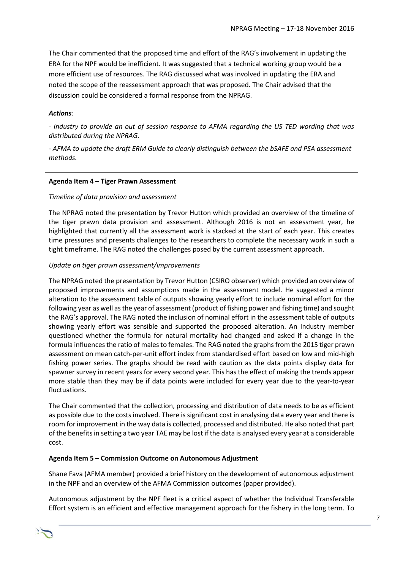The Chair commented that the proposed time and effort of the RAG's involvement in updating the ERA for the NPF would be inefficient. It was suggested that a technical working group would be a more efficient use of resources. The RAG discussed what was involved in updating the ERA and noted the scope of the reassessment approach that was proposed. The Chair advised that the discussion could be considered a formal response from the NPRAG.

#### *Actions:*

*- Industry to provide an out of session response to AFMA regarding the US TED wording that was distributed during the NPRAG.* 

*- AFMA to update the draft ERM Guide to clearly distinguish between the bSAFE and PSA assessment methods.*

#### **Agenda Item 4 – Tiger Prawn Assessment**

#### *Timeline of data provision and assessment*

The NPRAG noted the presentation by Trevor Hutton which provided an overview of the timeline of the tiger prawn data provision and assessment. Although 2016 is not an assessment year, he highlighted that currently all the assessment work is stacked at the start of each year. This creates time pressures and presents challenges to the researchers to complete the necessary work in such a tight timeframe. The RAG noted the challenges posed by the current assessment approach.

#### *Update on tiger prawn assessment/improvements*

The NPRAG noted the presentation by Trevor Hutton (CSIRO observer) which provided an overview of proposed improvements and assumptions made in the assessment model. He suggested a minor alteration to the assessment table of outputs showing yearly effort to include nominal effort for the following year as well as the year of assessment (product of fishing power and fishing time) and sought the RAG's approval. The RAG noted the inclusion of nominal effort in the assessment table of outputs showing yearly effort was sensible and supported the proposed alteration. An Industry member questioned whether the formula for natural mortality had changed and asked if a change in the formula influences the ratio of males to females. The RAG noted the graphs from the 2015 tiger prawn assessment on mean catch-per-unit effort index from standardised effort based on low and mid-high fishing power series. The graphs should be read with caution as the data points display data for spawner survey in recent years for every second year. This has the effect of making the trends appear more stable than they may be if data points were included for every year due to the year-to-year fluctuations.

The Chair commented that the collection, processing and distribution of data needs to be as efficient as possible due to the costs involved. There is significant cost in analysing data every year and there is room for improvement in the way data is collected, processed and distributed. He also noted that part of the benefits in setting a two year TAE may be lost if the data is analysed every year at a considerable cost.

#### **Agenda Item 5 – Commission Outcome on Autonomous Adjustment**

Shane Fava (AFMA member) provided a brief history on the development of autonomous adjustment in the NPF and an overview of the AFMA Commission outcomes (paper provided).

Autonomous adjustment by the NPF fleet is a critical aspect of whether the Individual Transferable Effort system is an efficient and effective management approach for the fishery in the long term. To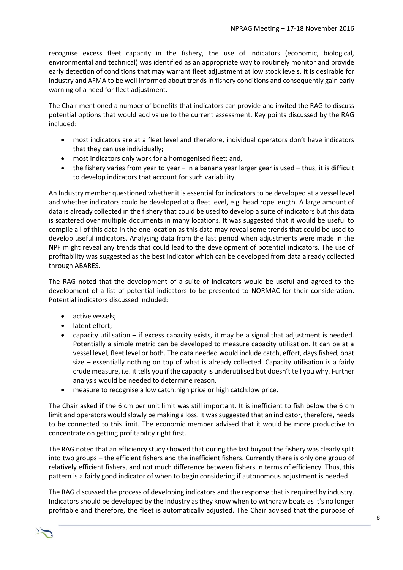recognise excess fleet capacity in the fishery, the use of indicators (economic, biological, environmental and technical) was identified as an appropriate way to routinely monitor and provide early detection of conditions that may warrant fleet adjustment at low stock levels. It is desirable for industry and AFMA to be well informed about trends in fishery conditions and consequently gain early warning of a need for fleet adjustment.

The Chair mentioned a number of benefits that indicators can provide and invited the RAG to discuss potential options that would add value to the current assessment. Key points discussed by the RAG included:

- most indicators are at a fleet level and therefore, individual operators don't have indicators that they can use individually;
- most indicators only work for a homogenised fleet; and,
- the fishery varies from year to year in a banana year larger gear is used thus, it is difficult to develop indicators that account for such variability.

An Industry member questioned whether it is essential for indicators to be developed at a vessel level and whether indicators could be developed at a fleet level, e.g. head rope length. A large amount of data is already collected in the fishery that could be used to develop a suite of indicators but this data is scattered over multiple documents in many locations. It was suggested that it would be useful to compile all of this data in the one location as this data may reveal some trends that could be used to develop useful indicators. Analysing data from the last period when adjustments were made in the NPF might reveal any trends that could lead to the development of potential indicators. The use of profitability was suggested as the best indicator which can be developed from data already collected through ABARES.

The RAG noted that the development of a suite of indicators would be useful and agreed to the development of a list of potential indicators to be presented to NORMAC for their consideration. Potential indicators discussed included:

- active vessels;
- latent effort;
- capacity utilisation if excess capacity exists, it may be a signal that adjustment is needed. Potentially a simple metric can be developed to measure capacity utilisation. It can be at a vessel level, fleet level or both. The data needed would include catch, effort, days fished, boat size – essentially nothing on top of what is already collected. Capacity utilisation is a fairly crude measure, i.e. it tells you if the capacity is underutilised but doesn't tell you why. Further analysis would be needed to determine reason.
- measure to recognise a low catch:high price or high catch:low price.

The Chair asked if the 6 cm per unit limit was still important. It is inefficient to fish below the 6 cm limit and operators would slowly be making a loss. It was suggested that an indicator, therefore, needs to be connected to this limit. The economic member advised that it would be more productive to concentrate on getting profitability right first.

The RAG noted that an efficiency study showed that during the last buyout the fishery was clearly split into two groups – the efficient fishers and the inefficient fishers. Currently there is only one group of relatively efficient fishers, and not much difference between fishers in terms of efficiency. Thus, this pattern is a fairly good indicator of when to begin considering if autonomous adjustment is needed.

The RAG discussed the process of developing indicators and the response that is required by industry. Indicators should be developed by the Industry as they know when to withdraw boats as it's no longer profitable and therefore, the fleet is automatically adjusted. The Chair advised that the purpose of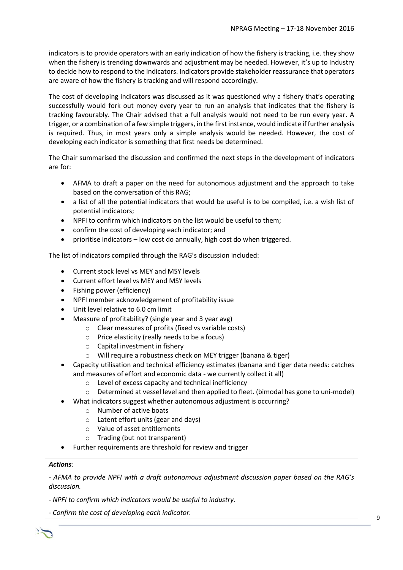indicators is to provide operators with an early indication of how the fishery is tracking, i.e. they show when the fishery is trending downwards and adjustment may be needed. However, it's up to Industry to decide how to respond to the indicators. Indicators provide stakeholder reassurance that operators are aware of how the fishery is tracking and will respond accordingly.

The cost of developing indicators was discussed as it was questioned why a fishery that's operating successfully would fork out money every year to run an analysis that indicates that the fishery is tracking favourably. The Chair advised that a full analysis would not need to be run every year. A trigger, or a combination of a few simple triggers, in the first instance, would indicate if further analysis is required. Thus, in most years only a simple analysis would be needed. However, the cost of developing each indicator is something that first needs be determined.

The Chair summarised the discussion and confirmed the next steps in the development of indicators are for:

- AFMA to draft a paper on the need for autonomous adjustment and the approach to take based on the conversation of this RAG;
- a list of all the potential indicators that would be useful is to be compiled, i.e. a wish list of potential indicators;
- NPFI to confirm which indicators on the list would be useful to them;
- confirm the cost of developing each indicator; and
- prioritise indicators low cost do annually, high cost do when triggered.

The list of indicators compiled through the RAG's discussion included:

- Current stock level vs MEY and MSY levels
- Current effort level vs MEY and MSY levels
- Fishing power (efficiency)
- NPFI member acknowledgement of profitability issue
- Unit level relative to 6.0 cm limit
- Measure of profitability? (single year and 3 year avg)
	- o Clear measures of profits (fixed vs variable costs)
	- o Price elasticity (really needs to be a focus)
	- o Capital investment in fishery
	- o Will require a robustness check on MEY trigger (banana & tiger)
- Capacity utilisation and technical efficiency estimates (banana and tiger data needs: catches and measures of effort and economic data - we currently collect it all)
	- o Level of excess capacity and technical inefficiency
	- o Determined at vessel level and then applied to fleet. (bimodal has gone to uni-model)
	- What indicators suggest whether autonomous adjustment is occurring?
	- o Number of active boats
		- o Latent effort units (gear and days)
		- o Value of asset entitlements
		- o Trading (but not transparent)
- Further requirements are threshold for review and trigger

#### *Actions:*

*- AFMA to provide NPFI with a draft autonomous adjustment discussion paper based on the RAG's discussion.*

*- NPFI to confirm which indicators would be useful to industry.*

*- Confirm the cost of developing each indicator.*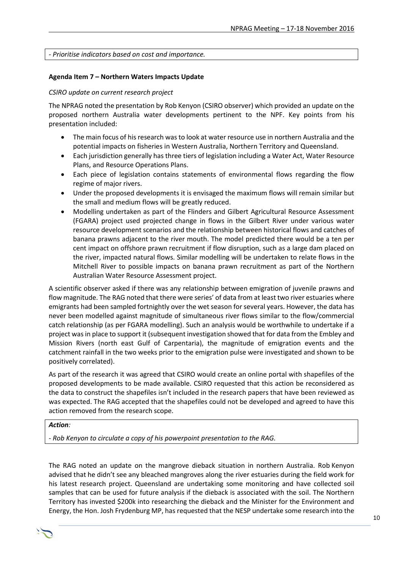*- Prioritise indicators based on cost and importance.*

#### **Agenda Item 7 – Northern Waters Impacts Update**

#### *CSIRO update on current research project*

The NPRAG noted the presentation by Rob Kenyon (CSIRO observer) which provided an update on the proposed northern Australia water developments pertinent to the NPF. Key points from his presentation included:

- The main focus of his research was to look at water resource use in northern Australia and the potential impacts on fisheries in Western Australia, Northern Territory and Queensland.
- Each jurisdiction generally has three tiers of legislation including a Water Act, Water Resource Plans, and Resource Operations Plans.
- Each piece of legislation contains statements of environmental flows regarding the flow regime of major rivers.
- Under the proposed developments it is envisaged the maximum flows will remain similar but the small and medium flows will be greatly reduced.
- Modelling undertaken as part of the Flinders and Gilbert Agricultural Resource Assessment (FGARA) project used projected change in flows in the Gilbert River under various water resource development scenarios and the relationship between historical flows and catches of banana prawns adjacent to the river mouth. The model predicted there would be a ten per cent impact on offshore prawn recruitment if flow disruption, such as a large dam placed on the river, impacted natural flows. Similar modelling will be undertaken to relate flows in the Mitchell River to possible impacts on banana prawn recruitment as part of the Northern Australian Water Resource Assessment project.

A scientific observer asked if there was any relationship between emigration of juvenile prawns and flow magnitude. The RAG noted that there were series' of data from at least two river estuaries where emigrants had been sampled fortnightly over the wet season for several years. However, the data has never been modelled against magnitude of simultaneous river flows similar to the flow/commercial catch relationship (as per FGARA modelling). Such an analysis would be worthwhile to undertake if a project was in place to support it (subsequent investigation showed that for data from the Embley and Mission Rivers (north east Gulf of Carpentaria), the magnitude of emigration events and the catchment rainfall in the two weeks prior to the emigration pulse were investigated and shown to be positively correlated).

As part of the research it was agreed that CSIRO would create an online portal with shapefiles of the proposed developments to be made available. CSIRO requested that this action be reconsidered as the data to construct the shapefiles isn't included in the research papers that have been reviewed as was expected. The RAG accepted that the shapefiles could not be developed and agreed to have this action removed from the research scope.

#### *Action:*

*- Rob Kenyon to circulate a copy of his powerpoint presentation to the RAG.*

The RAG noted an update on the mangrove dieback situation in northern Australia. Rob Kenyon advised that he didn't see any bleached mangroves along the river estuaries during the field work for his latest research project. Queensland are undertaking some monitoring and have collected soil samples that can be used for future analysis if the dieback is associated with the soil. The Northern Territory has invested \$200k into researching the dieback and the Minister for the Environment and Energy, the Hon. Josh Frydenburg MP, has requested that the NESP undertake some research into the

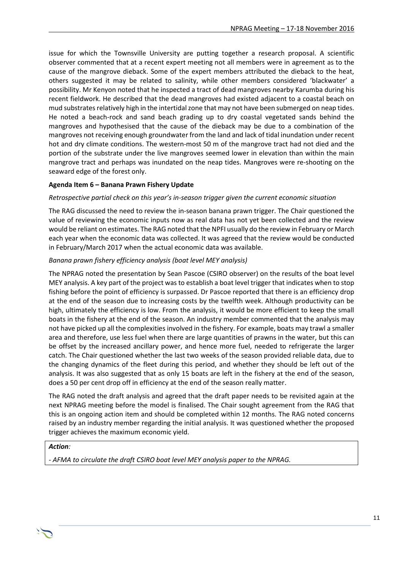issue for which the Townsville University are putting together a research proposal. A scientific observer commented that at a recent expert meeting not all members were in agreement as to the cause of the mangrove dieback. Some of the expert members attributed the dieback to the heat, others suggested it may be related to salinity, while other members considered 'blackwater' a possibility. Mr Kenyon noted that he inspected a tract of dead mangroves nearby Karumba during his recent fieldwork. He described that the dead mangroves had existed adjacent to a coastal beach on mud substrates relatively high in the intertidal zone that may not have been submerged on neap tides. He noted a beach-rock and sand beach grading up to dry coastal vegetated sands behind the mangroves and hypothesised that the cause of the dieback may be due to a combination of the mangroves not receiving enough groundwater from the land and lack of tidal inundation under recent hot and dry climate conditions. The western-most 50 m of the mangrove tract had not died and the portion of the substrate under the live mangroves seemed lower in elevation than within the main mangrove tract and perhaps was inundated on the neap tides. Mangroves were re-shooting on the seaward edge of the forest only.

#### **Agenda Item 6 – Banana Prawn Fishery Update**

#### *Retrospective partial check on this year's in-season trigger given the current economic situation*

The RAG discussed the need to review the in-season banana prawn trigger. The Chair questioned the value of reviewing the economic inputs now as real data has not yet been collected and the review would be reliant on estimates. The RAG noted that the NPFI usually do the review in February or March each year when the economic data was collected. It was agreed that the review would be conducted in February/March 2017 when the actual economic data was available.

#### *Banana prawn fishery efficiency analysis (boat level MEY analysis)*

The NPRAG noted the presentation by Sean Pascoe (CSIRO observer) on the results of the boat level MEY analysis. A key part of the project was to establish a boat level trigger that indicates when to stop fishing before the point of efficiency is surpassed. Dr Pascoe reported that there is an efficiency drop at the end of the season due to increasing costs by the twelfth week. Although productivity can be high, ultimately the efficiency is low. From the analysis, it would be more efficient to keep the small boats in the fishery at the end of the season. An industry member commented that the analysis may not have picked up all the complexities involved in the fishery. For example, boats may trawl a smaller area and therefore, use less fuel when there are large quantities of prawns in the water, but this can be offset by the increased ancillary power, and hence more fuel, needed to refrigerate the larger catch. The Chair questioned whether the last two weeks of the season provided reliable data, due to the changing dynamics of the fleet during this period, and whether they should be left out of the analysis. It was also suggested that as only 15 boats are left in the fishery at the end of the season, does a 50 per cent drop off in efficiency at the end of the season really matter.

The RAG noted the draft analysis and agreed that the draft paper needs to be revisited again at the next NPRAG meeting before the model is finalised. The Chair sought agreement from the RAG that this is an ongoing action item and should be completed within 12 months. The RAG noted concerns raised by an industry member regarding the initial analysis. It was questioned whether the proposed trigger achieves the maximum economic yield.

#### *Action:*

*- AFMA to circulate the draft CSIRO boat level MEY analysis paper to the NPRAG.* 

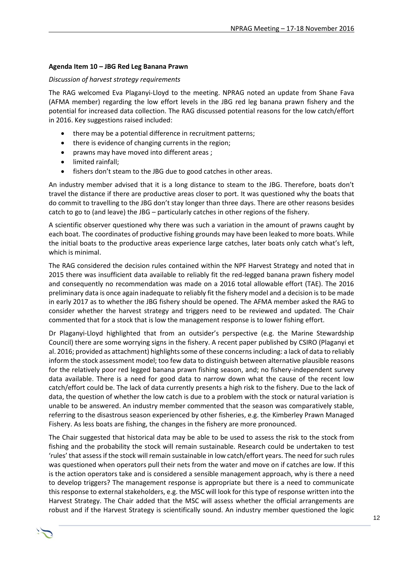#### **Agenda Item 10 – JBG Red Leg Banana Prawn**

#### *Discussion of harvest strategy requirements*

The RAG welcomed Eva Plaganyi-Lloyd to the meeting. NPRAG noted an update from Shane Fava (AFMA member) regarding the low effort levels in the JBG red leg banana prawn fishery and the potential for increased data collection. The RAG discussed potential reasons for the low catch/effort in 2016. Key suggestions raised included:

- there may be a potential difference in recruitment patterns;
- there is evidence of changing currents in the region;
- prawns may have moved into different areas ;
- limited rainfall;
- fishers don't steam to the JBG due to good catches in other areas.

An industry member advised that it is a long distance to steam to the JBG. Therefore, boats don't travel the distance if there are productive areas closer to port. It was questioned why the boats that do commit to travelling to the JBG don't stay longer than three days. There are other reasons besides catch to go to (and leave) the JBG – particularly catches in other regions of the fishery.

A scientific observer questioned why there was such a variation in the amount of prawns caught by each boat. The coordinates of productive fishing grounds may have been leaked to more boats. While the initial boats to the productive areas experience large catches, later boats only catch what's left, which is minimal.

The RAG considered the decision rules contained within the NPF Harvest Strategy and noted that in 2015 there was insufficient data available to reliably fit the red-legged banana prawn fishery model and consequently no recommendation was made on a 2016 total allowable effort (TAE). The 2016 preliminary data is once again inadequate to reliably fit the fishery model and a decision is to be made in early 2017 as to whether the JBG fishery should be opened. The AFMA member asked the RAG to consider whether the harvest strategy and triggers need to be reviewed and updated. The Chair commented that for a stock that is low the management response is to lower fishing effort.

Dr Plaganyi-Lloyd highlighted that from an outsider's perspective (e.g. the Marine Stewardship Council) there are some worrying signs in the fishery. A recent paper published by CSIRO (Plaganyi et al. 2016; provided as attachment) highlights some of these concernsincluding: a lack of data to reliably inform the stock assessment model; too few data to distinguish between alternative plausible reasons for the relatively poor red legged banana prawn fishing season, and; no fishery-independent survey data available. There is a need for good data to narrow down what the cause of the recent low catch/effort could be. The lack of data currently presents a high risk to the fishery. Due to the lack of data, the question of whether the low catch is due to a problem with the stock or natural variation is unable to be answered. An industry member commented that the season was comparatively stable, referring to the disastrous season experienced by other fisheries, e.g. the Kimberley Prawn Managed Fishery. As less boats are fishing, the changes in the fishery are more pronounced.

The Chair suggested that historical data may be able to be used to assess the risk to the stock from fishing and the probability the stock will remain sustainable. Research could be undertaken to test 'rules' that assess if the stock will remain sustainable in low catch/effort years. The need for such rules was questioned when operators pull their nets from the water and move on if catches are low. If this is the action operators take and is considered a sensible management approach, why is there a need to develop triggers? The management response is appropriate but there is a need to communicate this response to external stakeholders, e.g. the MSC will look for this type of response written into the Harvest Strategy. The Chair added that the MSC will assess whether the official arrangements are robust and if the Harvest Strategy is scientifically sound. An industry member questioned the logic

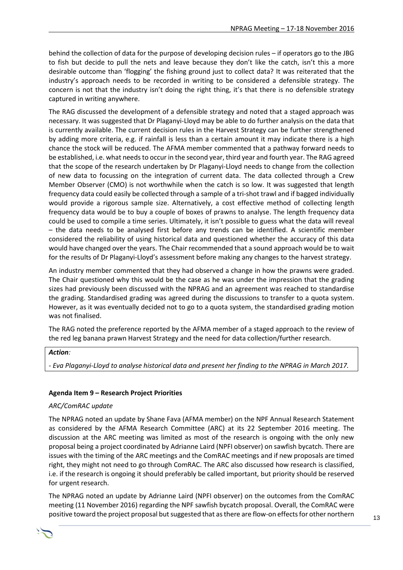behind the collection of data for the purpose of developing decision rules – if operators go to the JBG to fish but decide to pull the nets and leave because they don't like the catch, isn't this a more desirable outcome than 'flogging' the fishing ground just to collect data? It was reiterated that the industry's approach needs to be recorded in writing to be considered a defensible strategy. The concern is not that the industry isn't doing the right thing, it's that there is no defensible strategy captured in writing anywhere.

The RAG discussed the development of a defensible strategy and noted that a staged approach was necessary. It was suggested that Dr Plaganyi-Lloyd may be able to do further analysis on the data that is currently available. The current decision rules in the Harvest Strategy can be further strengthened by adding more criteria, e.g. if rainfall is less than a certain amount it may indicate there is a high chance the stock will be reduced. The AFMA member commented that a pathway forward needs to be established, i.e. what needs to occur in the second year, third year and fourth year. The RAG agreed that the scope of the research undertaken by Dr Plaganyi-Lloyd needs to change from the collection of new data to focussing on the integration of current data. The data collected through a Crew Member Observer (CMO) is not worthwhile when the catch is so low. It was suggested that length frequency data could easily be collected through a sample of a tri-shot trawl and if bagged individually would provide a rigorous sample size. Alternatively, a cost effective method of collecting length frequency data would be to buy a couple of boxes of prawns to analyse. The length frequency data could be used to compile a time series. Ultimately, it isn't possible to guess what the data will reveal – the data needs to be analysed first before any trends can be identified. A scientific member considered the reliability of using historical data and questioned whether the accuracy of this data would have changed over the years. The Chair recommended that a sound approach would be to wait for the results of Dr Plaganyi-Lloyd's assessment before making any changes to the harvest strategy.

An industry member commented that they had observed a change in how the prawns were graded. The Chair questioned why this would be the case as he was under the impression that the grading sizes had previously been discussed with the NPRAG and an agreement was reached to standardise the grading. Standardised grading was agreed during the discussions to transfer to a quota system. However, as it was eventually decided not to go to a quota system, the standardised grading motion was not finalised.

The RAG noted the preference reported by the AFMA member of a staged approach to the review of the red leg banana prawn Harvest Strategy and the need for data collection/further research.

#### *Action:*

*- Eva Plaganyi-Lloyd to analyse historical data and present her finding to the NPRAG in March 2017.* 

#### **Agenda Item 9 – Research Project Priorities**

#### *ARC/ComRAC update*

The NPRAG noted an update by Shane Fava (AFMA member) on the NPF Annual Research Statement as considered by the AFMA Research Committee (ARC) at its 22 September 2016 meeting. The discussion at the ARC meeting was limited as most of the research is ongoing with the only new proposal being a project coordinated by Adrianne Laird (NPFI observer) on sawfish bycatch. There are issues with the timing of the ARC meetings and the ComRAC meetings and if new proposals are timed right, they might not need to go through ComRAC. The ARC also discussed how research is classified, i.e. if the research is ongoing it should preferably be called important, but priority should be reserved for urgent research.

The NPRAG noted an update by Adrianne Laird (NPFI observer) on the outcomes from the ComRAC meeting (11 November 2016) regarding the NPF sawfish bycatch proposal. Overall, the ComRAC were positive toward the project proposal but suggested that as there are flow-on effects for other northern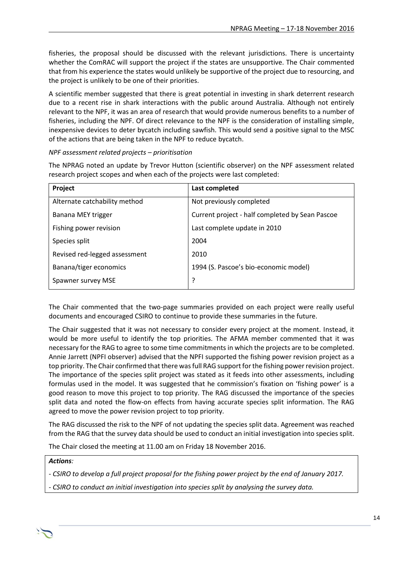fisheries, the proposal should be discussed with the relevant jurisdictions. There is uncertainty whether the ComRAC will support the project if the states are unsupportive. The Chair commented that from his experience the states would unlikely be supportive of the project due to resourcing, and the project is unlikely to be one of their priorities.

A scientific member suggested that there is great potential in investing in shark deterrent research due to a recent rise in shark interactions with the public around Australia. Although not entirely relevant to the NPF, it was an area of research that would provide numerous benefits to a number of fisheries, including the NPF. Of direct relevance to the NPF is the consideration of installing simple, inexpensive devices to deter bycatch including sawfish. This would send a positive signal to the MSC of the actions that are being taken in the NPF to reduce bycatch.

#### *NPF assessment related projects – prioritisation*

The NPRAG noted an update by Trevor Hutton (scientific observer) on the NPF assessment related research project scopes and when each of the projects were last completed:

| Project                       | Last completed                                  |
|-------------------------------|-------------------------------------------------|
| Alternate catchability method | Not previously completed                        |
| Banana MEY trigger            | Current project - half completed by Sean Pascoe |
| Fishing power revision        | Last complete update in 2010                    |
| Species split                 | 2004                                            |
| Revised red-legged assessment | 2010                                            |
| Banana/tiger economics        | 1994 (S. Pascoe's bio-economic model)           |
| Spawner survey MSE            | 7                                               |

The Chair commented that the two-page summaries provided on each project were really useful documents and encouraged CSIRO to continue to provide these summaries in the future.

The Chair suggested that it was not necessary to consider every project at the moment. Instead, it would be more useful to identify the top priorities. The AFMA member commented that it was necessary for the RAG to agree to some time commitments in which the projects are to be completed. Annie Jarrett (NPFI observer) advised that the NPFI supported the fishing power revision project as a top priority. The Chair confirmed that there was full RAG support for the fishing power revision project. The importance of the species split project was stated as it feeds into other assessments, including formulas used in the model. It was suggested that he commission's fixation on 'fishing power' is a good reason to move this project to top priority. The RAG discussed the importance of the species split data and noted the flow-on effects from having accurate species split information. The RAG agreed to move the power revision project to top priority.

The RAG discussed the risk to the NPF of not updating the species split data. Agreement was reached from the RAG that the survey data should be used to conduct an initial investigation into species split.

The Chair closed the meeting at 11.00 am on Friday 18 November 2016.

#### *Actions:*

*- CSIRO to develop a full project proposal for the fishing power project by the end of January 2017.*

*- CSIRO to conduct an initial investigation into species split by analysing the survey data.*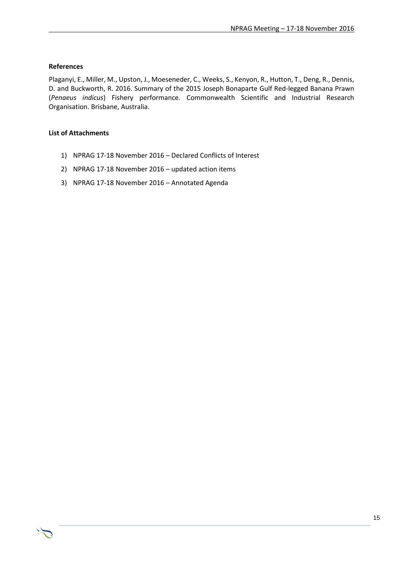#### **References**

Plaganyi, E., Miller, M., Upston, J., Moeseneder, C., Weeks, S., Kenyon, R., Hutton, T., Deng, R., Dennis, D. and Buckworth, R. 2016. Summary of the 2015 Joseph Bonaparte Gulf Red-legged Banana Prawn (*Penaeus indicus*) Fishery performance. Commonwealth Scientific and Industrial Research Organisation. Brisbane, Australia.

#### **List of Attachments**

- 1) NPRAG 17-18 November 2016 Declared Conflicts of Interest
- 2) NPRAG 17-18 November 2016 updated action items
- 3) NPRAG 17-18 November 2016 Annotated Agenda

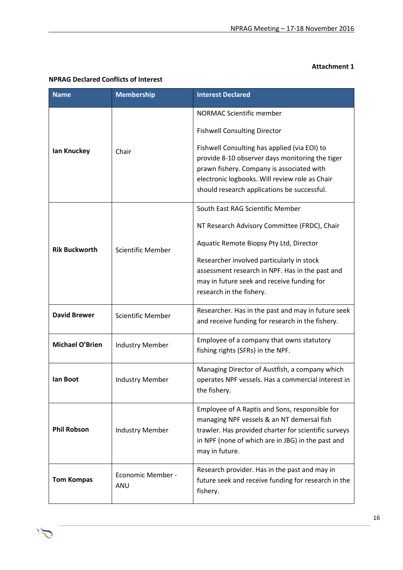#### **Attachment 1**

| <b>Name</b>                               | <b>Membership</b>        | <b>Interest Declared</b>                                                                                                                                                                                                                      |
|-------------------------------------------|--------------------------|-----------------------------------------------------------------------------------------------------------------------------------------------------------------------------------------------------------------------------------------------|
|                                           |                          | <b>NORMAC Scientific member</b>                                                                                                                                                                                                               |
| lan Knuckey                               |                          | <b>Fishwell Consulting Director</b>                                                                                                                                                                                                           |
|                                           | Chair                    | Fishwell Consulting has applied (via EOI) to<br>provide 8-10 observer days monitoring the tiger<br>prawn fishery. Company is associated with<br>electronic logbooks. Will review role as Chair<br>should research applications be successful. |
|                                           |                          | South East RAG Scientific Member                                                                                                                                                                                                              |
|                                           |                          | NT Research Advisory Committee (FRDC), Chair                                                                                                                                                                                                  |
| <b>Rik Buckworth</b>                      | <b>Scientific Member</b> | Aquatic Remote Biopsy Pty Ltd, Director                                                                                                                                                                                                       |
|                                           |                          | Researcher involved particularly in stock<br>assessment research in NPF. Has in the past and<br>may in future seek and receive funding for<br>research in the fishery.                                                                        |
| <b>David Brewer</b>                       | <b>Scientific Member</b> | Researcher. Has in the past and may in future seek<br>and receive funding for research in the fishery.                                                                                                                                        |
| Michael O'Brien<br><b>Industry Member</b> |                          | Employee of a company that owns statutory<br>fishing rights (SFRs) in the NPF.                                                                                                                                                                |
| lan Boot<br><b>Industry Member</b>        |                          | Managing Director of Austfish, a company which<br>operates NPF vessels. Has a commercial interest in<br>the fishery.                                                                                                                          |
| <b>Phil Robson</b>                        | <b>Industry Member</b>   | Employee of A Raptis and Sons, responsible for<br>managing NPF vessels & an NT demersal fish<br>trawler. Has provided charter for scientific surveys<br>in NPF (none of which are in JBG) in the past and<br>may in future.                   |
| <b>Tom Kompas</b>                         | Economic Member -<br>ANU | Research provider. Has in the past and may in<br>future seek and receive funding for research in the<br>fishery.                                                                                                                              |

#### **NPRAG Declared Conflicts of Interest**

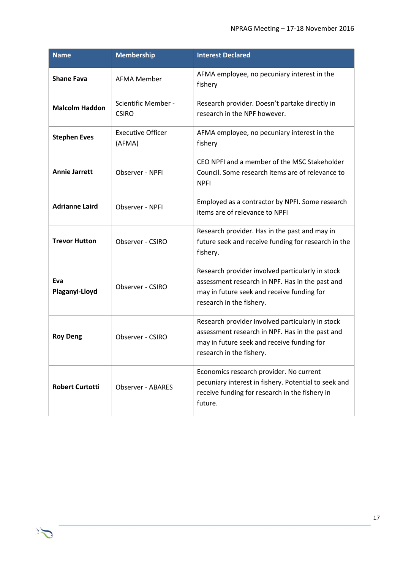| <b>Name</b>                                            | <b>Membership</b>                   | <b>Interest Declared</b>                                                                                                                                                      |
|--------------------------------------------------------|-------------------------------------|-------------------------------------------------------------------------------------------------------------------------------------------------------------------------------|
| <b>Shane Fava</b>                                      | <b>AFMA Member</b>                  | AFMA employee, no pecuniary interest in the<br>fishery                                                                                                                        |
| <b>Malcolm Haddon</b>                                  | Scientific Member -<br><b>CSIRO</b> | Research provider. Doesn't partake directly in<br>research in the NPF however.                                                                                                |
| <b>Stephen Eves</b>                                    | <b>Executive Officer</b><br>(AFMA)  | AFMA employee, no pecuniary interest in the<br>fishery                                                                                                                        |
| <b>Annie Jarrett</b><br>Observer - NPFI<br><b>NPFI</b> |                                     | CEO NPFI and a member of the MSC Stakeholder<br>Council. Some research items are of relevance to                                                                              |
| <b>Adrianne Laird</b><br>Observer - NPFI               |                                     | Employed as a contractor by NPFI. Some research<br>items are of relevance to NPFI                                                                                             |
| <b>Trevor Hutton</b>                                   | Observer - CSIRO                    | Research provider. Has in the past and may in<br>future seek and receive funding for research in the<br>fishery.                                                              |
| Eva<br>Plaganyi-Lloyd                                  | Observer - CSIRO                    | Research provider involved particularly in stock<br>assessment research in NPF. Has in the past and<br>may in future seek and receive funding for<br>research in the fishery. |
| <b>Roy Deng</b>                                        | Observer - CSIRO                    | Research provider involved particularly in stock<br>assessment research in NPF. Has in the past and<br>may in future seek and receive funding for<br>research in the fishery. |
| <b>Robert Curtotti</b>                                 | Observer - ABARES                   | Economics research provider. No current<br>pecuniary interest in fishery. Potential to seek and<br>receive funding for research in the fishery in<br>future.                  |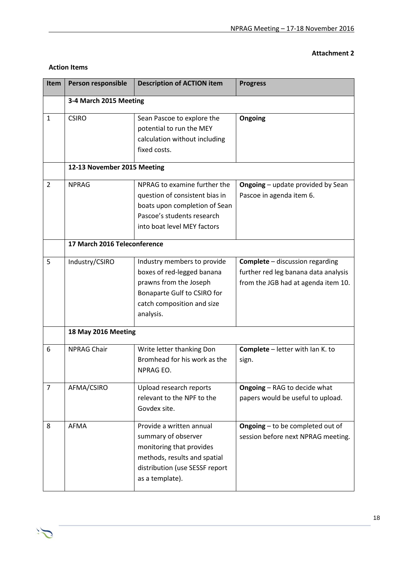#### **Attachment 2**

| <b>Item</b>    | Person responsible           | <b>Description of ACTION item</b>                                                                                                                                | <b>Progress</b>                                                                                                       |
|----------------|------------------------------|------------------------------------------------------------------------------------------------------------------------------------------------------------------|-----------------------------------------------------------------------------------------------------------------------|
|                | 3-4 March 2015 Meeting       |                                                                                                                                                                  |                                                                                                                       |
| $\mathbf{1}$   | <b>CSIRO</b>                 | Sean Pascoe to explore the<br>potential to run the MEY<br>calculation without including<br>fixed costs.                                                          | Ongoing                                                                                                               |
|                | 12-13 November 2015 Meeting  |                                                                                                                                                                  |                                                                                                                       |
| $\overline{2}$ | <b>NPRAG</b>                 | NPRAG to examine further the<br>question of consistent bias in<br>boats upon completion of Sean<br>Pascoe's students research<br>into boat level MEY factors     | <b>Ongoing</b> - update provided by Sean<br>Pascoe in agenda item 6.                                                  |
|                | 17 March 2016 Teleconference |                                                                                                                                                                  |                                                                                                                       |
| 5              | Industry/CSIRO               | Industry members to provide<br>boxes of red-legged banana<br>prawns from the Joseph<br>Bonaparte Gulf to CSIRO for<br>catch composition and size<br>analysis.    | <b>Complete</b> - discussion regarding<br>further red leg banana data analysis<br>from the JGB had at agenda item 10. |
|                | 18 May 2016 Meeting          |                                                                                                                                                                  |                                                                                                                       |
| 6              | <b>NPRAG Chair</b>           | Write letter thanking Don<br>Bromhead for his work as the<br>NPRAG EO.                                                                                           | Complete - letter with Ian K. to<br>sign.                                                                             |
| $\overline{7}$ | AFMA/CSIRO                   | Upload research reports<br>relevant to the NPF to the<br>Govdex site.                                                                                            | <b>Ongoing - RAG to decide what</b><br>papers would be useful to upload.                                              |
| 8              | AFMA                         | Provide a written annual<br>summary of observer<br>monitoring that provides<br>methods, results and spatial<br>distribution (use SESSF report<br>as a template). | <b>Ongoing</b> – to be completed out of<br>session before next NPRAG meeting.                                         |

#### **Action Items**

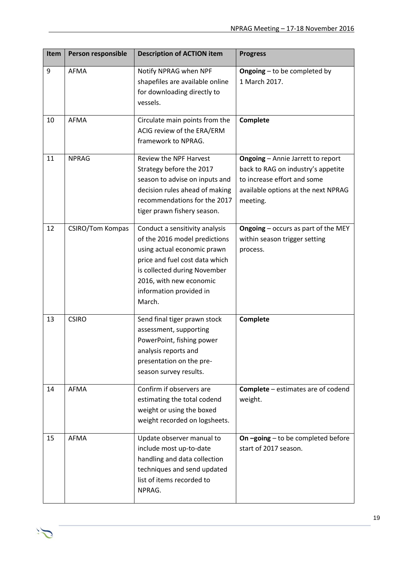| <b>Item</b> | Person responsible      | <b>Description of ACTION item</b>                                                                                                                                                                                                | <b>Progress</b>                                                                                                                                                  |
|-------------|-------------------------|----------------------------------------------------------------------------------------------------------------------------------------------------------------------------------------------------------------------------------|------------------------------------------------------------------------------------------------------------------------------------------------------------------|
| 9           | AFMA                    | Notify NPRAG when NPF<br>shapefiles are available online<br>for downloading directly to<br>vessels.                                                                                                                              | Ongoing - to be completed by<br>1 March 2017.                                                                                                                    |
| 10          | <b>AFMA</b>             | Circulate main points from the<br>ACIG review of the ERA/ERM<br>framework to NPRAG.                                                                                                                                              | Complete                                                                                                                                                         |
| 11          | <b>NPRAG</b>            | Review the NPF Harvest<br>Strategy before the 2017<br>season to advise on inputs and<br>decision rules ahead of making<br>recommendations for the 2017<br>tiger prawn fishery season.                                            | <b>Ongoing - Annie Jarrett to report</b><br>back to RAG on industry's appetite<br>to increase effort and some<br>available options at the next NPRAG<br>meeting. |
| 12          | <b>CSIRO/Tom Kompas</b> | Conduct a sensitivity analysis<br>of the 2016 model predictions<br>using actual economic prawn<br>price and fuel cost data which<br>is collected during November<br>2016, with new economic<br>information provided in<br>March. | <b>Ongoing</b> – occurs as part of the MEY<br>within season trigger setting<br>process.                                                                          |
| 13          | <b>CSIRO</b>            | Send final tiger prawn stock<br>assessment, supporting<br>PowerPoint, fishing power<br>analysis reports and<br>presentation on the pre-<br>season survey results.                                                                | Complete                                                                                                                                                         |
| 14          | AFMA                    | Confirm if observers are<br>estimating the total codend<br>weight or using the boxed<br>weight recorded on logsheets.                                                                                                            | <b>Complete</b> – estimates are of codend<br>weight.                                                                                                             |
| 15          | AFMA                    | Update observer manual to<br>include most up-to-date<br>handling and data collection<br>techniques and send updated<br>list of items recorded to<br>NPRAG.                                                                       | On-going-to be completed before<br>start of 2017 season.                                                                                                         |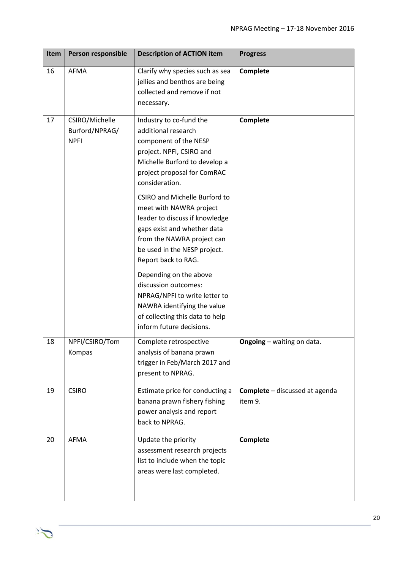| Item | Person responsible                              | <b>Description of ACTION item</b>                                                                                                                                                                                     | <b>Progress</b>                                  |
|------|-------------------------------------------------|-----------------------------------------------------------------------------------------------------------------------------------------------------------------------------------------------------------------------|--------------------------------------------------|
| 16   | <b>AFMA</b>                                     | Clarify why species such as sea<br>jellies and benthos are being<br>collected and remove if not<br>necessary.                                                                                                         | Complete                                         |
| 17   | CSIRO/Michelle<br>Burford/NPRAG/<br><b>NPFI</b> | Industry to co-fund the<br>additional research<br>component of the NESP<br>project. NPFI, CSIRO and<br>Michelle Burford to develop a<br>project proposal for ComRAC<br>consideration.                                 | Complete                                         |
|      |                                                 | <b>CSIRO and Michelle Burford to</b><br>meet with NAWRA project<br>leader to discuss if knowledge<br>gaps exist and whether data<br>from the NAWRA project can<br>be used in the NESP project.<br>Report back to RAG. |                                                  |
|      |                                                 | Depending on the above<br>discussion outcomes:<br>NPRAG/NPFI to write letter to<br>NAWRA identifying the value<br>of collecting this data to help<br>inform future decisions.                                         |                                                  |
| 18   | NPFI/CSIRO/Tom<br>Kompas                        | Complete retrospective<br>analysis of banana prawn<br>trigger in Feb/March 2017 and<br>present to NPRAG.                                                                                                              | <b>Ongoing</b> - waiting on data.                |
| 19   | <b>CSIRO</b>                                    | Estimate price for conducting a<br>banana prawn fishery fishing<br>power analysis and report<br>back to NPRAG.                                                                                                        | <b>Complete</b> - discussed at agenda<br>item 9. |
| 20   | AFMA                                            | Update the priority<br>assessment research projects<br>list to include when the topic<br>areas were last completed.                                                                                                   | Complete                                         |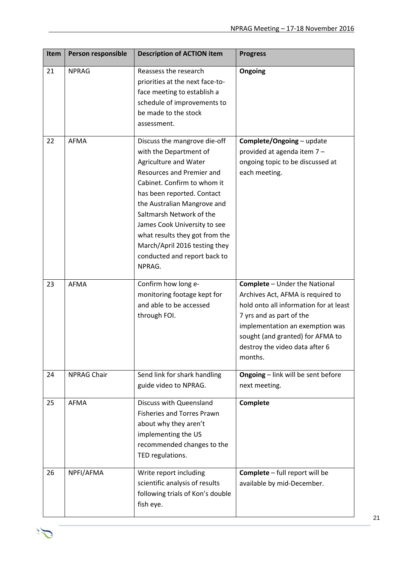| Item | Person responsible | <b>Description of ACTION item</b>                                                                                                                                                                                                                                                                                                                                                 | <b>Progress</b>                                                                                                                                                                                                                                                     |
|------|--------------------|-----------------------------------------------------------------------------------------------------------------------------------------------------------------------------------------------------------------------------------------------------------------------------------------------------------------------------------------------------------------------------------|---------------------------------------------------------------------------------------------------------------------------------------------------------------------------------------------------------------------------------------------------------------------|
| 21   | <b>NPRAG</b>       | Reassess the research<br>priorities at the next face-to-<br>face meeting to establish a<br>schedule of improvements to<br>be made to the stock<br>assessment.                                                                                                                                                                                                                     | Ongoing                                                                                                                                                                                                                                                             |
| 22   | <b>AFMA</b>        | Discuss the mangrove die-off<br>with the Department of<br>Agriculture and Water<br>Resources and Premier and<br>Cabinet. Confirm to whom it<br>has been reported. Contact<br>the Australian Mangrove and<br>Saltmarsh Network of the<br>James Cook University to see<br>what results they got from the<br>March/April 2016 testing they<br>conducted and report back to<br>NPRAG. | Complete/Ongoing - update<br>provided at agenda item 7-<br>ongoing topic to be discussed at<br>each meeting.                                                                                                                                                        |
| 23   | <b>AFMA</b>        | Confirm how long e-<br>monitoring footage kept for<br>and able to be accessed<br>through FOI.                                                                                                                                                                                                                                                                                     | <b>Complete</b> - Under the National<br>Archives Act, AFMA is required to<br>hold onto all information for at least<br>7 yrs and as part of the<br>implementation an exemption was<br>sought (and granted) for AFMA to<br>destroy the video data after 6<br>months. |
| 24   | <b>NPRAG Chair</b> | Send link for shark handling<br>guide video to NPRAG.                                                                                                                                                                                                                                                                                                                             | <b>Ongoing</b> - link will be sent before<br>next meeting.                                                                                                                                                                                                          |
| 25   | AFMA               | Discuss with Queensland<br><b>Fisheries and Torres Prawn</b><br>about why they aren't<br>implementing the US<br>recommended changes to the<br>TED regulations.                                                                                                                                                                                                                    | Complete                                                                                                                                                                                                                                                            |
| 26   | NPFI/AFMA          | Write report including<br>scientific analysis of results<br>following trials of Kon's double<br>fish eye.                                                                                                                                                                                                                                                                         | Complete - full report will be<br>available by mid-December.                                                                                                                                                                                                        |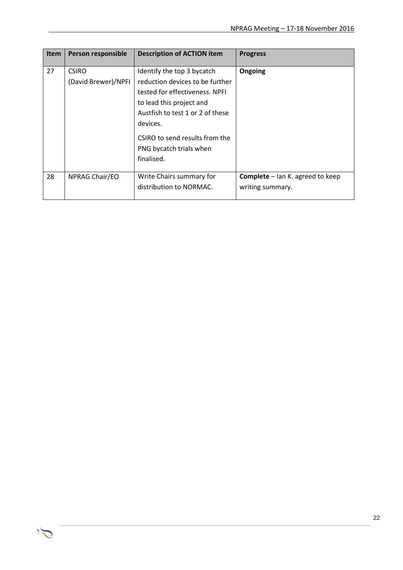| <b>Item</b> | Person responsible                  | <b>Description of ACTION item</b>                                                                                                                                                                                                                      | <b>Progress</b>                                             |
|-------------|-------------------------------------|--------------------------------------------------------------------------------------------------------------------------------------------------------------------------------------------------------------------------------------------------------|-------------------------------------------------------------|
| 27          | <b>CSIRO</b><br>(David Brewer)/NPFI | Identify the top 3 bycatch<br>reduction devices to be further<br>tested for effectiveness. NPFL<br>to lead this project and<br>Austfish to test 1 or 2 of these<br>devices.<br>CSIRO to send results from the<br>PNG bycatch trials when<br>finalised. | Ongoing                                                     |
| 28          | NPRAG Chair/EO                      | Write Chairs summary for<br>distribution to NORMAC.                                                                                                                                                                                                    | <b>Complete</b> – Ian K. agreed to keep<br>writing summary. |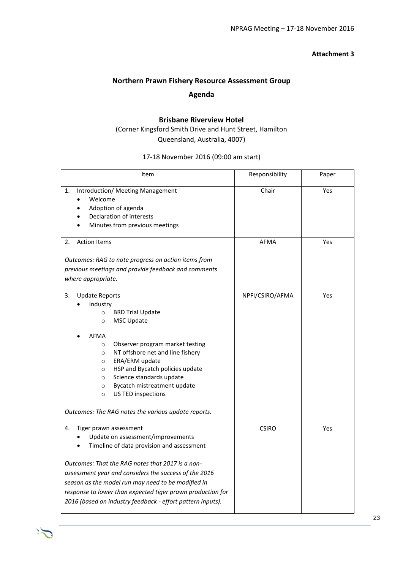#### **Attachment 3**

### **Northern Prawn Fishery Resource Assessment Group Agenda**

#### **Brisbane Riverview Hotel** (Corner Kingsford Smith Drive and Hunt Street, Hamilton Queensland, Australia, 4007)

17-18 November 2016 (09:00 am start)

| Item                                                                                                                                                                                                                                                                                                                                                                                                                                                                   | Responsibility  | Paper |
|------------------------------------------------------------------------------------------------------------------------------------------------------------------------------------------------------------------------------------------------------------------------------------------------------------------------------------------------------------------------------------------------------------------------------------------------------------------------|-----------------|-------|
| Introduction/ Meeting Management<br>1.<br>Welcome<br>Adoption of agenda<br>Declaration of interests<br>Minutes from previous meetings                                                                                                                                                                                                                                                                                                                                  | Chair           | Yes   |
| <b>Action Items</b><br>2.<br>Outcomes: RAG to note progress on action items from<br>previous meetings and provide feedback and comments<br>where appropriate.                                                                                                                                                                                                                                                                                                          | <b>AFMA</b>     | Yes   |
| 3.<br><b>Update Reports</b><br>Industry<br><b>BRD Trial Update</b><br>$\circ$<br><b>MSC Update</b><br>$\circ$<br>AFMA<br>Observer program market testing<br>$\circ$<br>NT offshore net and line fishery<br>$\circ$<br>ERA/ERM update<br>$\circ$<br>HSP and Bycatch policies update<br>$\circ$<br>Science standards update<br>$\circ$<br>Bycatch mistreatment update<br>$\circ$<br>US TED inspections<br>$\circ$<br>Outcomes: The RAG notes the various update reports. | NPFI/CSIRO/AFMA | Yes   |
| Tiger prawn assessment<br>4.<br>Update on assessment/improvements<br>Timeline of data provision and assessment<br>Outcomes: That the RAG notes that 2017 is a non-<br>assessment year and considers the success of the 2016<br>season as the model run may need to be modified in<br>response to lower than expected tiger prawn production for<br>2016 (based on industry feedback - effort pattern inputs).                                                          | <b>CSIRO</b>    | Yes   |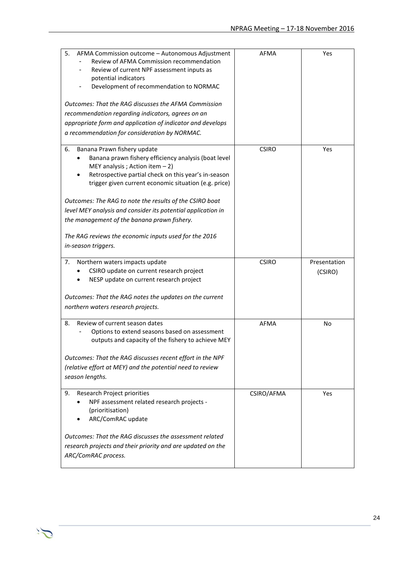| 5.<br>AFMA Commission outcome - Autonomous Adjustment<br>Review of AFMA Commission recommendation<br>Review of current NPF assessment inputs as<br>potential indicators<br>Development of recommendation to NORMAC<br>Outcomes: That the RAG discusses the AFMA Commission<br>recommendation regarding indicators, agrees on an<br>appropriate form and application of indicator and develops<br>a recommendation for consideration by NORMAC.                                                           | AFMA         | Yes                     |
|----------------------------------------------------------------------------------------------------------------------------------------------------------------------------------------------------------------------------------------------------------------------------------------------------------------------------------------------------------------------------------------------------------------------------------------------------------------------------------------------------------|--------------|-------------------------|
| Banana Prawn fishery update<br>6.<br>Banana prawn fishery efficiency analysis (boat level<br>MEY analysis; Action item $-2$ )<br>Retrospective partial check on this year's in-season<br>trigger given current economic situation (e.g. price)<br>Outcomes: The RAG to note the results of the CSIRO boat<br>level MEY analysis and consider its potential application in<br>the management of the banana prawn fishery.<br>The RAG reviews the economic inputs used for the 2016<br>in-season triggers. | <b>CSIRO</b> | Yes                     |
| 7.<br>Northern waters impacts update<br>CSIRO update on current research project<br>NESP update on current research project<br>Outcomes: That the RAG notes the updates on the current<br>northern waters research projects.                                                                                                                                                                                                                                                                             | <b>CSIRO</b> | Presentation<br>(CSIRO) |
| Review of current season dates<br>8.<br>Options to extend seasons based on assessment<br>outputs and capacity of the fishery to achieve MEY<br>Outcomes: That the RAG discusses recent effort in the NPF<br>(relative effort at MEY) and the potential need to review<br>season lengths.                                                                                                                                                                                                                 | <b>AFMA</b>  | No                      |
| 9.<br>Research Project priorities<br>NPF assessment related research projects -<br>(prioritisation)<br>ARC/ComRAC update<br>Outcomes: That the RAG discusses the assessment related<br>research projects and their priority and are updated on the                                                                                                                                                                                                                                                       | CSIRO/AFMA   | Yes                     |